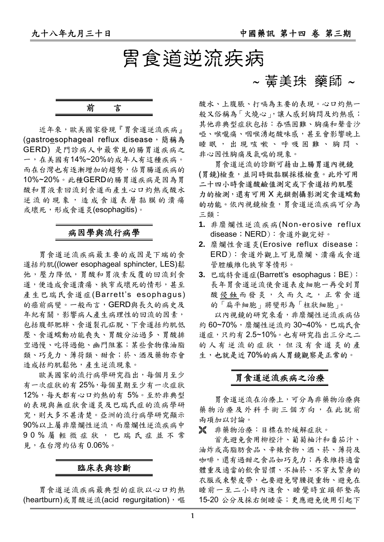## 胃食道逆流疾病

### 前言

近年來,歐美國家發現『胃食道逆流疾病』 (gastroesophageal reflux disease,簡稱為 GERD)是門診病人中最常見的腸胃道疾病之 一,在美國有14%~20%的成年人有這種疾病。 而在台灣也有逐漸增加的趨勢,佔胃腸道疾病的 10%~20%。此種GERD的腸胃道疾病是因為胃 酸和胃液素回流到食道而產生心口灼熱或酸水 逆流的現象,造成食道表層黏膜的潰瘍 或壞死,形成食道炎(esophagitis)。

#### 病因學與流行病學

胃食道逆流疾病最主要的成因是下端的食 道括約肌((lower esophageal sphincter, LES)鬆 弛,壓力降低,胃酸和胃液素反覆的回流到食 道,便造成食道潰瘍、狹窄或壞死的情形,甚至 產生巴瑞氏食道症(Barrett's esophagus) 的癌前病變。一般而言,GERD與長久的病史及 年紀有關,影響病人產生病理性的回流的因素, 包括腹部肥胖、食道裂孔疝脫、下食道括約肌低 壓、食道蠕動功能喪失、胃酸分泌過多、胃酸排 空過慢、吃得過飽、幽門阻塞;某些食物像油脂 類、巧克力、薄荷類、甜食;菸、酒及藥物亦會 造成括約肌鬆弛,產生逆流現象。

歐美國家的流行病學研究指出,每個月至少 有一次症狀的有 25%,每個星期至少有一次症狀 12%,每天都有心口灼熱的有 5%。至於非典型 的表現與無症狀食道炎及巴瑞氏症的流病學研 究,則大多不甚清楚。亞洲的流行病學研究顯示 90%以上屬非糜爛性逆流,而糜爛性逆流疾病中 90% 屬輕微症狀,巴瑞氏症並不常 見,在台灣約佔有 0.06%。

#### 臨床表與診斷

胃食道逆流疾病最典型的症狀以心口灼熱 (heartburn)或胃酸逆流(acid requrgitation),嘔

### ∼ 黃美珠 藥師 ∼

酸水、上腹脹、打嗝為主要的表現。心口灼熱一 般又俗稱為「火燒心」,讓人感到胸悶及灼熱感; 其他非典型症狀包括:吞嚥困難、胸痛和聲音沙 **啞、喉嚨痛、咽喉湧起酸味感,甚至會影響晚上** 睡眠,出現咳嗽、呼吸困難、胸悶、 非心因性胸痛及氣喘的現象。

胃食道逆流的診斷可藉由上腸胃道內視鏡 (胃鏡)檢查,並同時做黏膜採樣檢查。此外可用 二十四小時食道酸鹼值測定或下食道括約肌壓 力的檢測,還有可用 X 光鋇劑攝影測定食道蠕動 的功能。依內視鏡檢查,胃食道逆流疾病可分為 三類:

- **1.** 非糜爛性逆流疾病(Non-erosive reflux disease;NERD):食道外觀完好。
- **2.** 糜爛性食道炎(Erosive reflux disease; ERD):食道外觀上可見糜爛、潰瘍或食道 管腔纖維化狹窄等情形。
- **3.** 巴瑞特食道症(Barrett's esophagus;BE): 長年胃食道逆流使食道表皮細胞一再受到胃 酸侵蝕而發炎,久而久之,正常食道 的「扁平細胞」將變形為「柱狀細胞」。

以內視鏡的研究來看,非糜爛性逆流疾病佔 約 60~70%,糜爛性逆流約 30~40%,巴瑞氏食 道症,只約有2.5~10%。也有研究指出三分之二 的人有逆流的症狀,但沒有食道炎的產 生,也就是近 70%的病人胃鏡觀察是正常的。

#### 胃食道逆流疾病之治療

胃食道逆流在治療上,可分為非藥物治療與 藥物治療及外科手術三個方向,在此就前 兩項加以討論。

± 非藥物治療:目標在於緩解症狀。

首先避免食用柳橙汁、葡萄柚汁和番茄汁、 油炸或高脂肪食品、辛辣食物、酒、菸、薄荷及 咖啡,還有過甜之食品如巧克力;再來維持適當 體重及適當的飲食習慣、不抽菸、不穿太緊身的 衣服或束繫皮帶,也要避免彎腰提重物、避免在 睡前一至二小時內進食、睡覺時宜頭部墊高 15-20 公分及採右側睡姿;更應避免使用引起下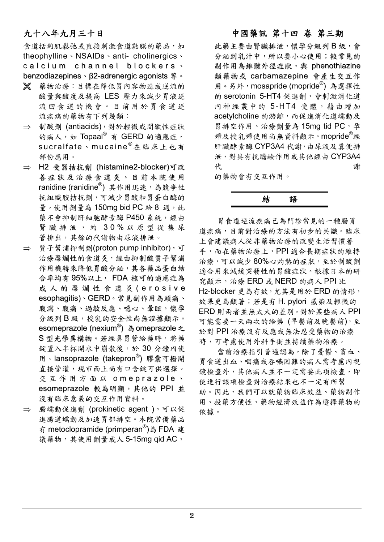食道括約肌鬆弛或直接刺激食道黏膜的藥品,如 theophylline、NSAIDs、anti- cholinergics、 calcium channel blockers . benzodiazepines、β2-adrenergic agonists  $\frac{4}{3}$ 。

- ± 藥物治療:目標在降低胃內容物造成逆流的 酸量與酸度及提高 LES 壓力來減少胃液逆 流回食道的機會。目前用於胃食道逆 流疾病的藥物有下列幾類:
- ⇒ 制酸劑 (antiacids),對於輕微或間歇性症狀 的病人,如 Topaal® 有 GERD 的適應症, sucralfate、mucaine<sup>®</sup>在臨床上也有 部份應用。
- ⇒ H2 受器拮抗劑 (histamine2-blocker)可改 善症狀及治療食道炎。目前本院使用 ranidine (ranidine®) 其作用迅速,為競爭性 抗組織胺拮抗劑,可減少胃酸和胃蛋白酶的 量。使用劑量為150mg bid PC 給 8 週,此 藥不會抑制肝細胞酵素酶 P450 系統,經由 腎臟排泄,約 30% 以原型從集尿 管排出,其餘的代謝物由尿液排泄。
- ⇒ 質子幫浦抑制劑(proton pump inhibitor),可 治療糜爛性的食道炎,經由抑制酸質子幫浦 作用機轉來降低胃酸分泌,其各藥品蛋白結 合率均有 95%以上, FDA 核可的適應症為 成 人 的 糜 爛 性 食 道 炎 (erosive esophagitis)、GERD。常見副作用為頭痛、 腹瀉、腹痛、過敏反應、噁心、暈眩,懷孕 分級列 B 級,授乳的安全性尚無證據顯示。 esomeprazole (nexium<sup>®</sup>) 為 omeprazole 之 S 型光學異構物。若經鼻胃管給藥時,將藥 錠置入半杯開水中崩散後,於 30 分鐘內使 用。lansoprazole (takepron<sup>®</sup>) 膠囊可撥開 直接管灌,現市面上尚有口含錠可供選擇。 交互作用方面以 O m e p r a z o l e 、 esomeprazole 較為明顯,其他的 PPI 並 沒有臨床意義的交互作用資料。
- ⇒ 腸蠕動促進劑 (prokinetic agent), 可以促 進腸道蠕動及加速胃部排空。本院常備藥品 有 metoclopramide (primperan®)為 FDA 建 議藥物,其使用劑量成人 5-15mg qid AC,

#### 九十八年九月三十日 中國藥訊 第十四 卷 第三期

此藥主要由腎臟排泄,懷孕分級列 B 級,會 分泌到乳汁中,所以要小心使用;較常見的 副作用為錐體外徑症狀,與 phenothiazine 類藥物或 carbamazepine 會產生交互作 用。另外,mosapride (mopride®)為選擇性 的 serotonin 5-HT4 促進劑,會刺激消化道 內神經叢中的 5-HT4 受體, 藉由增加 acetylcholine 的游離,而促進消化道蠕動及 胃排空作用。治療劑量為 15mg tid PC, 孕 婦及授乳婦使用尚無資料顯示。mopride®經 肝臟酵素酶 CYP3A4 代謝,由尿液及糞便排 泄,對具有抗膽鹼作用或其他經由 CYP3A4 代 的复数医生物 医心理学 计数据数据

的藥物會有交互作用。



胃食道逆流疾病已為門診常見的一種腸胃 道疾病,目前對治療的方法有初步的共識。臨床 上會建議病人從非藥物治療的改變生活習慣著 手,而在藥物治療上,PPI 適合長期症狀的維持 治療,可以減少 80%心灼熱的症狀,至於制酸劑 適合用來減緩突發性的胃酸症狀。根據日本的研 究顯示,治療 ERD 或 NERD 的病人 PPI 比 H2-blocker 更為有效,尤其是用於 ERD 的情形, 效果更為顯著;若是有 H. pylori 感染及輕微的 ERD 則兩者並無太大的差別。對於某些病人 PPI 可能需要一天兩次的給藥 (早餐前及晚餐前),至 於對 PPI 治療沒有反應或無法忍受藥物的治療 時,可考慮使用外科手術並持續藥物治療。

當前治療指引普遍認為,除了憂鬱、貧血、 胃食道出血、咽痛或吞嚥困難的病人需考慮內視 鏡檢查外,其他病人並不一定需要此項檢查,即 使進行該項檢查對治療結果也不一定有所幫 助。因此,我們可以就藥物臨床效益、藥物副作 用、投藥方便性、藥物經濟效益作為選擇藥物的 依據。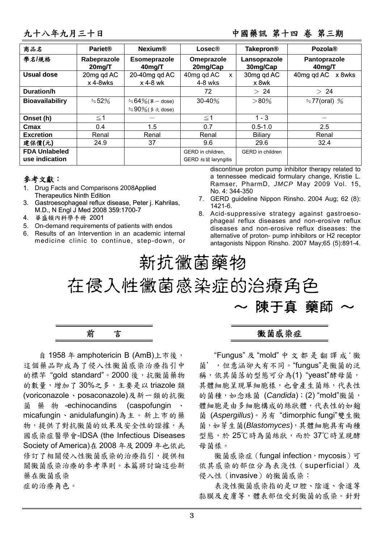#### 九十八年九月三十日 中國藥訊 第十四 卷 第三期

| 商品名                                    | <b>Pariet®</b>           | <b>Nexium®</b>                      | Lossec@                                            | <b>Takepron®</b>        | Pozola <sup>®</sup>    |  |
|----------------------------------------|--------------------------|-------------------------------------|----------------------------------------------------|-------------------------|------------------------|--|
| 學名/規格                                  | Rabeprazole<br>$20$ mg/T | Esomeprazole<br>40 <sub>m</sub> g/T | Omeprazole<br>Lansoprazole<br>20mg/Cap<br>30mg/Cap |                         | Pantoprazole<br>40mg/T |  |
| <b>Usual dose</b>                      | 20mg qd AC<br>x 4-8wks   | 20-40mg qd AC<br>x 4-8 wk           | 40mg qd AC<br>$\mathsf{x}$<br>$4-8$ wks            | 30mg qd AC<br>x 8wk     | 40mg qd AC<br>x 8wks   |  |
| Duration/h                             |                          |                                     | 72                                                 | > 24                    | > 24                   |  |
| <b>Bioavailabiliry</b>                 | $\approx 52\%$           | $\approx 64\%$ (單 - dose)           | $30 - 40%$                                         | $>80\%$                 | $\div$ 77(oral) %      |  |
|                                        |                          | $\approx 90\%$ ( $\AA \gg$ dose)    |                                                    |                         |                        |  |
| Onset (h)                              | $\leq$ 1                 |                                     | $\leq 1$                                           | $1 - 3$                 |                        |  |
| Cmax                                   | 0.4                      | 1.5                                 | 0.7                                                | $0.5 - 1.0$             | 2.5                    |  |
| <b>Excretion</b>                       | Renal                    | Renal                               | Renal                                              | Biliary                 | Renal                  |  |
| 建保價(元)                                 | 24.9                     | 37                                  | 9.6                                                | 29.6                    | 32.4                   |  |
| <b>FDA Unlabeled</b><br>use indication |                          |                                     | GERD in children.<br>GERD 相關 laryngitis            | <b>GERD</b> in children |                        |  |

#### 參考文獻:

- 1. Drug Facts and Comparisons 2008Applied Therapeutics Ninth Edition
- 3. Gastroesophageal reflux disease, Peter j. Kahrilas, M.D., N Engl J Med2008 359:1700-7
- 4. 華盛頓內科學手冊 2001
- 5. On-demand requirements of patients with endos
- 6. Results of an Intervention in an academic internal medicine clinic to continue, step-down, or

discontinue proton pump inhibitor therapy related to a tennessee medicaid formulary change, Kristie L. Ramser, PharmD, *JMCP* May 2009 Vol. 15, No. 4: 344-350

- 7. GERD guideline Nippon Rinsho. 2004 Aug; 62 (8): 1421-6.
- 8. Acid-suppressive strategy against gastroesophageal reflux diseases and non-erosive reflux diseases and non-erosive reflux diseases: the alternative of proton- pump inhibitors or H2 receptor antagonists Nippon Rinsho. 2007 May;65 (5):891-4.

# 新抗黴菌藥物

在侵入性黴菌感染症的治療角色 陳干真 藥師



自 1958 年 amphotericin B (AmB)上市後, 這個藥品即成為了侵入性黴菌感染治療指引中 的標竿 "gold standard"。2000 後, 抗黴菌藥物 的數量,增加了 30%之多,主要是以 triazole 類 (voriconazole、posaconazole)及新一類的抗黴 菌藥物 -echinocandins (caspofungin 、 micafungin、anidulafungin)為主。新上市的藥 物,提供了對抗黴菌的效果及安全性的證據,美 國感染症醫學會-IDSA (the Infectious Diseases Society of America)在 2008 年及 2009 年也依此 修訂了相關侵入性黴菌感染的治療指引,提供相 關黴菌感染治療的參考準則。本篇將討論這些新 藥在黴菌感染 症的治療角色。

#### 黴菌感染症

"Fungus" 及 "mold" 中文都是翻譯成 ' 黴 菌',但意涵卻大有不同。"fungus"是黴菌的泛 稱,依其菌落的型態可分為(1) "yeast"酵母菌, 其體細胞呈現單細胞樣,也會產生菌絲,代表性 的菌種,如念珠菌 (*Candida*);(2) "mold"黴菌, 體細胞是由多細胞構成的絲狀體,代表性的如麴 菌 (*Aspergillus*)。另有 "dimorphic fungi"雙生黴 菌,如芽生菌(*Blastomyces*),其體細胞具有兩種 型態,於 25℃時為菌絲狀,而於 37℃時呈現酵 母菌樣。

微菌感染症(fungal infection, mycosis)可 依其感染的部位分為表淺性(superficial)及 侵入性(invasive)的黴菌感染:

表淺性黴菌感染指的是口腔、陰道、食道等 黏膜及皮膚等,體表部位受到黴菌的感染。針對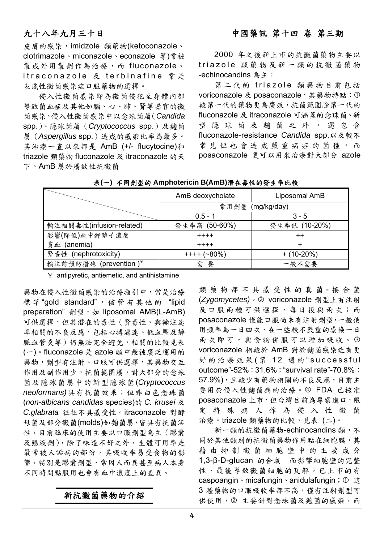皮膚的感染,imidzole 類藥物(ketoconazole、 clotrimazole、miconazole、econazole 等)常被 製成外用製劑作為治療,而 fluconazole、 itraconazole 及 terbinafine 常 是 表淺性黴菌感染症口服藥物的選擇。

侵入性黴菌感染即為黴菌侵犯至身體內部 導致菌血症及其他如腦、心、肺、腎等器官的黴 菌感染。侵入性黴菌感染中以念珠菌屬(*Candida* spp.)、隱球菌屬(*Cryptococcus* spp.)及麴菌 屬(*Aspergillus* spp.)造成的感染比率為最多。 其治療一直以來都是 AmB (+/- flucytocine)和 triazole 類藥物 fluconazole 及 itraconazole 的天 下。AmB 屬於廣效性抗黴菌

2000 年之後新上市的抗黴菌藥物主要以 triazole 類藥物及新一類的抗黴菌藥物 -echinocandins 為主:

第二代的 triazole 類藥物目前包括 voriconazole 及 posaconazole,其藥物特點;① 較第一代的藥物更為廣效,抗菌範圍除第一代的 fluconazole 及 itraconazole 可涵蓋的念珠菌、新 型隱球菌及麴菌之外,還包含 fluconazole-resistance *Candida* spp.以及較不 常見但也會造成嚴重病症的菌種,而 posaconazole 更可以用來治療對大部分 azole

|                          | AmB deoxycholate | Liposomal AmB   |  |  |  |
|--------------------------|------------------|-----------------|--|--|--|
|                          | 常用劑量 (mg/kg/day) |                 |  |  |  |
|                          | $0.5 - 1$        | $3 - 5$         |  |  |  |
| 輸注相關毒性(infusion-related) | 發生率高 (50-60%)    | 發生率低 (10-20%)   |  |  |  |
| 影響(降低)血中鉀離子濃度            | $+ + + +$        | $^{\mathrm{+}}$ |  |  |  |
| 貧血 (anemia)              | $+ + + +$        |                 |  |  |  |
| 腎毒性 (nephrotoxicity)     | $+++ (280%)$     | $+ (10-20\%)$   |  |  |  |
| 輸注前預防措施 (prevention)¥    | 需<br>要           | 一般不需要           |  |  |  |

表**(**一**)** 不同劑型的 **Amphotericin B(AmB)**潛在毒性的發生率比較

 $\angle$  antipyretic, antiemetic, and antihistamine

藥物在侵入性黴菌感染的治療指引中,常是治療 標 竿"gold standard", 儘管有其他的 "lipid preparation" 劑型, 如 liposomal AMB(L-AmB) 可供選擇,但其潛在的毒性(腎毒性、與輸注速 率相關的不良反應,包括心搏過速、低血壓及靜 脈血管炎等)仍無法完全避免,相關的比較見表 (一)。fluconazole 是 azole 類中最被廣泛運用的 藥物,劑型有注射、口服可供選擇,其藥物交互 作用及副作用少,抗菌範圍廣,對大部分的念珠 菌及隱球菌屬中的新型隱球菌(*Cryptococcus neoformans)*具有抗菌效果;但非白色念珠菌 (*non-albicans candidas* species)的 *C. krusei* 及 *C.glabrata* 往往不具感受性。itraconazole 對酵 母菌及部分黴菌(molds)如麴菌屬,皆具有抗菌活 性,目前臨床的使用主要以口服劑型為主(膠囊 及懸液劑),除了味道不好之外,生體可用率是 最常被人詬病的部份,其吸收率易受食物的影 響,特別是膠囊劑型,常因人而異甚至病人本身 不同時間點服用也會有血中濃度上的差異。

### 新抗黴菌藥物的介紹

類 藥 物 都 不 具 感 受 性 的 真 菌 - 接 合 菌 (*Zygomycetes)*。d voriconazole 劑型上有注射 及口服兩種可供選擇,每日投與兩次;而 posaconazole 僅能口服尚未有注射劑型,一般使 用頻率為一日四次,在一些較不嚴重的感染一日 兩次即可,與食物併服可以增加吸收。3 voriconazole 相較於 AmB 對於麴菌感染症有更 好的治療效果 (第 12 週的"successful outcome"-52%:31.6%;"survival rate"-70.8%: 57.9%),且較少有藥物相關的不良反應,目前主 要用於侵入性麴菌病的治療。4 FDA 已核准 posaconazole 上市,但台灣目前為專案進口,限 定特殊病人作為侵入性黴菌 治療。triazole 類藥物的比較,見表 (二)。

新一類的抗黴菌藥物-echinocandins 類,不 同於其他類別的抗黴菌藥物作用點在細胞膜,其 藉由抑制黴菌細胞壁中的主要成分 1,3-β-D-glucan 的合成 而影響細胞壁的完整 性,最後導致黴菌細胞的瓦解。已上市的有 caspoangin、micafungin、anidulafungin; ① 這 3 種藥物的口服吸收率都不高,僅有注射劑型可 供使用,②主要針對念珠菌及麴菌的感染,而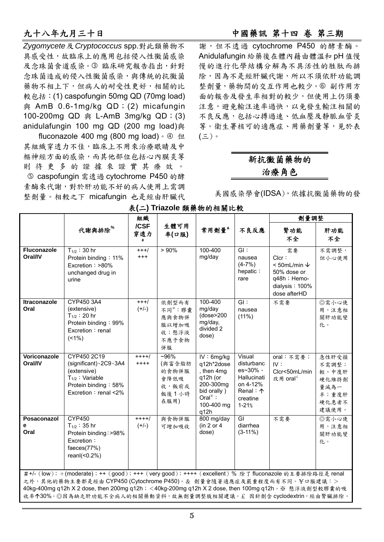*Zygomycete*及*Cryptococcus* spp.對此類藥物不 具感受性,故臨床上的應用包括侵入性黴菌感染 及念珠菌食道感染。3 臨床研究報告指出, 針對 念珠菌造成的侵入性黴菌感染,與傳統的抗黴菌 藥物不相上下,但病人的耐受性更好,相關的比 較包括: (1) caspofungin 50mg QD (70mg load) 與 AmB 0.6-1mg/kg QD;(2) micafungin 100-200mg QD 與 L-AmB 3mg/kg QD; (3) anidulafungin 100 mg QD (200 mg load)與

fluconazole 400 mg (800 mg load)  $\cdot$  4 但 其組織穿透力不佳,臨床上不用來治療眼睛及中 樞神經方面的感染,而其他部位包括心內膜炎等 則待更多的證據來證實其療效。 g caspofungin 需透過 cytochrome P450 的酵 素酶來代謝,對於肝功能不好的病人使用上需調 整劑量。相較之下 micafungin 也是經由肝臟代

謝,但不透過 cytochrome P450 的酵素酶。 Anidulafungin 給藥後在體內藉由體溫和 pH 值慢 慢的進行化學結構分解為不具活性的胜肽而排 除,因為不是經肝臟代謝,所以不須依肝功能調 整劑量,藥物間的交互作用也較少。6 副作用方 面的報告及發生率相對的較少,但使用上仍須要 注意,避免輸注速率過快,以免發生輸注相關的 不良反應,包括心搏過速、低血壓及靜脈血管炎 等。衛生署核可的適應症、用藥劑量等,見於表 (三)。

### 新抗黴菌藥物的 治療角色

美國感染學會(IDSA),依據抗黴菌藥物的發

|                                                                                                                                                                                                                                                                                                                                                          |                                                                                                                                 | 組織<br>/CSF<br>生體可用<br>代謝與排除"<br>常用劑量*<br>穿透力<br>率(口服)<br># |                                                              | 劑量調整                                                                                                               |                                                                                                  |                                                                                                    |                                                                     |
|----------------------------------------------------------------------------------------------------------------------------------------------------------------------------------------------------------------------------------------------------------------------------------------------------------------------------------------------------------|---------------------------------------------------------------------------------------------------------------------------------|------------------------------------------------------------|--------------------------------------------------------------|--------------------------------------------------------------------------------------------------------------------|--------------------------------------------------------------------------------------------------|----------------------------------------------------------------------------------------------------|---------------------------------------------------------------------|
|                                                                                                                                                                                                                                                                                                                                                          |                                                                                                                                 |                                                            |                                                              |                                                                                                                    | 不良反應                                                                                             | 腎功能<br>不全                                                                                          | 肝功能<br>不全                                                           |
| Fluconazole<br>Oral/IV                                                                                                                                                                                                                                                                                                                                   | $T_{1/2}$ : 30 hr<br>Protein binding: 11%<br>Excretion: >80%<br>unchanged drug in<br>urine                                      | $+++/-$<br>$^{+++}$                                        | $> 90\%$                                                     | 100-400<br>mg/day                                                                                                  | $\overline{GI}$ :<br>nausea<br>$(4-7%)$<br>hepatic:<br>rare                                      | 需要<br>Clcr:<br>< 50mL/min $\sqrt$<br>50% dose or<br>q48h ; Hemo-<br>dialysis: 100%<br>dose afterHD | 不需調整,<br>但小心使用                                                      |
| Itraconazole<br>Oral                                                                                                                                                                                                                                                                                                                                     | CYP450 3A4<br>(extensive)<br>$T_{1/2}$ : 20 hr<br>Protein binding: 99%<br>Excretion: renal<br>$(1\%)$                           | $+++/-$<br>$(+/-)$                                         | 依劑型而有<br>不同**: 膠囊<br>應與食物併<br>服以增加吸<br>收;懸浮液<br>不應予食物<br>併服  | 100-400<br>mg/day<br>(dose>200<br>mg/day,<br>divided 2<br>dose)                                                    | GI:<br>nausea<br>(11%)                                                                           | 不需要                                                                                                | ◎需小心使<br>用,注意相<br>關肝功能變<br>化。                                       |
| Voriconazole<br>Oral/IV                                                                                                                                                                                                                                                                                                                                  | CYP450 2C19<br>(significant) \ 2C9 \ 3A4<br>(extensive)<br>$T_{1/2}$ : Variable<br>Protein binding: 58%<br>Excretion: renal <2% | $+++/$<br>$+++++$                                          | $-96%$<br>(與富含脂肪<br>的食物併服<br>會降低吸<br>收, 飯前或<br>飯後1小時<br>在服用) | IV: 6mg/kg<br>q12h*2dose<br>, then 4mg<br>q12h (or<br>200-300mg<br>bid orally)<br>Oral $*$ :<br>100-400 mg<br>q12h | Visual<br>disturbanc<br>es~30% \<br>Hallucinati<br>on 4-12%<br>Renal: 1<br>creatine<br>$1 - 21%$ | oral:不需要;<br>IV:<br>Clcr<50mL/min<br>改用 oral <sup>£</sup>                                          | 急性肝受損<br>不需調整;<br>輕、中度肝<br>硬化維持劑<br>量減為一<br>半;重度肝<br>硬化患者不<br>建議使用。 |
| Posaconazol<br>е<br>Oral                                                                                                                                                                                                                                                                                                                                 | <b>CYP450</b><br>$T_{1/2}$ : 35 hr<br>Protein binding: >98%<br>Excretion:<br>faeces $(77%)$<br>$reanI(<0.2\%)$                  | $+++/$<br>$(+/-)$                                          | 與食物併服<br>可增加吸收                                               | 800 mg/day<br>(in 2 or 4)<br>dose)                                                                                 | GI<br>diarrhea<br>$(3-11\%)$                                                                     | 不需要                                                                                                | ◎需小心使<br>用,注意相<br>關肝功能變<br>化。                                       |
| #+/- (low); +(moderate); ++ (good); +++ (very good); ++++ (excellent) % 除了 fluconazole 的主要排除路徑是 renal<br>之外,其他的藥物主要都是經由 CYP450 (Cytochrome P450)。& 劑量會隨著適應症及嚴重程度而有不同。¥口服建議:><br>40kg-400mg q12h X 2 dose, then 200mg q12h; <40kg-200mg q12h X 2 dose, then 100mg q12h。※ 懸浮液劑型較膠囊的吸<br>收率个30%。◎因為缺乏肝功能不全病人的相關藥動資料,故無劑量調整肢相關建議。£ 因針劑含 cyclodextrin,經由腎臟排除。 |                                                                                                                                 |                                                            |                                                              |                                                                                                                    |                                                                                                  |                                                                                                    |                                                                     |

表**(**二**) Triazole** 類藥物的相關比較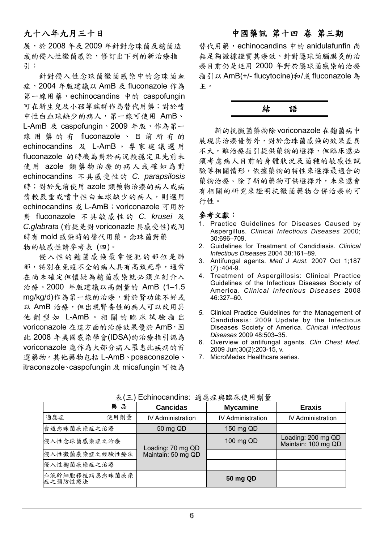展,於 2008 年及 2009 年針對念珠菌及麴菌造 成的侵入性黴菌感染,修訂出下列的新治療指 引:

針對侵入性念珠菌黴菌感染中的念珠菌血 症,2004 年版建議以 AmB 及 fluconazole 作為 第一線用藥, echinocandins 中的 caspofungin 可在新生兒及小孩等族群作為替代用藥;對於嗜 中性白血球缺少的病人,第一線可使用 AmB、 L-AmB 及 caspofungin。2009年版,作為第一 線用藥的有 fluconazole 、目前所有的 echinocandins 及 L-AmB 。專家建議選用 fluconazole 的時機為對於病況較穩定且先前未 使 用 azole 類藥物治療的病人或確知為對 echinocandins 不具感受性的 *C. parapsilosis* 時;對於先前使用 azole 類藥物治療的病人或病 情較嚴重或嗜中性白血球缺少的病人,則選用 echinocandins 或 L-AmB; voriconazole 可用於 對 fluconazole 不具敏感性的 *C. krusei* 及 *C.glabrata* (前提是對voriconazle 具感受性)或同 時有 mold 感染時的替代用藥。念珠菌對藥 物的敏感性請參考表 (四)。

侵入性的麴菌感染最常侵犯的部位是肺 部,特別在免疫不全的病人具有高致死率,通常 在尚未確定但懷疑為麴菌感染就必須立刻介入 治療。2000 年版建議以高劑量的 AmB (1–1.5 mg/kg/d)作為第一線的治療,對於腎功能不好或 以 AmB 治療, 但出現腎毒性的病人可以改用其 他劑型如 L-AmB 。相關的臨床試驗指出 voriconazole 在這方面的治療效果優於 AmB,因 此 2008 年美國感染學會(IDSA)的治療指引認為 voriconazole 應作為大部分病人罹患此疾病的首 選藥物。其他藥物包括 L-AmB、posaconazole、 itraconazole、caspofungin 及 micafungin 可做為 替代用藥,echinocandins 中的 anidulafunfin 尚 無足夠證據證實其療效。針對隱球菌腦膜炎的治 療目前仍是延用 2000 年對於隱球菌感染的治療 指引以 AmB(+/- flucytocine)和/或 fluconazole 為 主。



新的抗黴菌藥物除voriconazole在麴菌病中 展現其治療優勢外,對於念珠菌感染的效果差異 不大,雖治療指引提供藥物的選擇,但臨床還必 須考慮病人目前的身體狀況及菌種的敏感性試 驗等相關情形,依據藥物的特性來選擇最適合的 藥物治療。除了新的藥物可供選擇外,未來還會 有相關的研究來證明抗黴菌藥物合併治療的可 行性。

#### 參考文獻:

- 1. Practice Guidelines for Diseases Caused by Aspergillus. *Clinical Infectious Diseases* 2000; 30:696–709.
- 2. Guidelines for Treatment of Candidiasis*. Clinical Infectious Diseases* 2004 38:161–89.
- 3. Antifungal agents. *Med J Aust.* 2007 Oct 1;187  $(7)$ :404-9.
- 4. Treatment of Aspergillosis: Clinical Practice Guidelines of the Infectious Diseases Society of America. *Clinical Infectious Diseases* 2008 46:327–60.
- *5.* Clinical Practice Guidelines for the Management of Candidiasis: 2009 Update by the Infectious Diseases Society of America. *Clinical Infectious Diseases* 2009 48:503–35.
- 6. Overview of antifungal agents. *Clin Chest Med.* 2009 Jun;30(2):203-15, v.
- 7. MicroMedex Healthcare series.

| 藥 品                       | <b>Cancidas</b>          | <b>Mycamine</b>          | <b>Eraxis</b>                             |  |
|---------------------------|--------------------------|--------------------------|-------------------------------------------|--|
| 適應症<br>使用劑量               | <b>IV Administration</b> | <b>IV Administration</b> | <b>IV Administration</b>                  |  |
| 食道念珠菌感染症之治療               | 50 mg QD                 | 150 mg QD                |                                           |  |
| 侵入性念珠菌感染症之治療              | Loading: 70 mg QD        | 100 mg QD                | Loading: 200 mg QD<br>Maintain: 100 mg QD |  |
| 侵入性黴菌感染症之經驗性療法            | Maintain: 50 mg QD       |                          |                                           |  |
| 侵入性麴菌感染症之治療               |                          |                          |                                           |  |
| 血液幹細胞移植病患念珠菌感染<br>症之預防性療法 |                          | 50 mg QD                 |                                           |  |

表(三) Echinocandins: 適應症與臨床使用劑量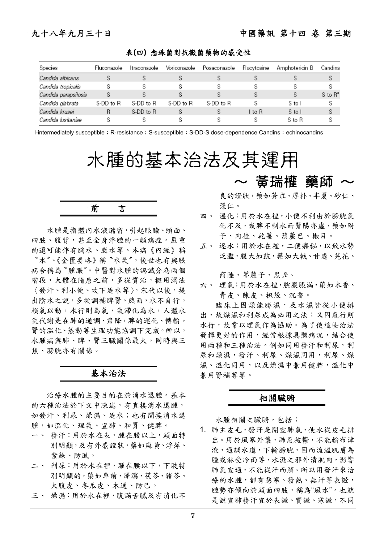表**(**四**)** 念珠菌對抗黴菌藥物的感受性

| Species              | Fluconazole | Itraconazole | Voriconazole | Posaconazole  | Flucytosine | Amphotericin B | Candins      |
|----------------------|-------------|--------------|--------------|---------------|-------------|----------------|--------------|
| Candida albicans     |             |              |              |               |             |                | S            |
| Candida tropicalis   |             |              |              |               |             |                |              |
| Candida parapsilosis |             |              |              |               |             |                | $S$ to $R^a$ |
| Candida glabrata     | S-DD to R   | S-DD to R    | S-DD to R    | S-DD to R     |             | S to I         | S            |
| Candida krusei       | R           | S-DD to R    |              | $\mathcal{D}$ | l to R      | S to I         | S            |
| Candida Iusitaniae   |             |              |              |               |             | S to R         |              |

I-intermediately susceptible; R-resistance; S-susceptible; S-DD-S dose-dependence Candins: echinocandins

水腫的基本治法及其運用

$$
\hat{\textbf{m}} = \hat{\textbf{m}}
$$

水腫是指體內水液瀦留,引起眼瞼、頭面、 四肢、腹背,甚至全身浮腫的一類病症。嚴重 的還可能伴有胸水、腹水等。本病《內經》稱 〝水〞、《金匱要略》稱〝水氣〞,後世也有與脹 病合稱為〝腫脹〞。中醫對水腫的認識分為兩個 階段,大體在隋唐之前,多從實治,概用瀉法 〈發汗、利小便、攻下逐水等〉,宋代以後,提 出陰水之說,多從調補脾腎。然而,水不自行, 賴氣以動,水行則為氣,氣滯化為水,人體水 氣代謝是在肺的通調、肅降,脾的運化、轉輸, 腎的溫化、蒸動等生理功能協調下完成。所以, 水腫病與肺、脾、腎三臟關係最大,同時與三 焦、膀胱亦有關係。

#### 基本治法

治療水腫的主要目的在於消水退腫。基本 的六種治法於下文中陳述,有直接消水退腫, 如發汗、利尿、燥濕、逐水;也有間接消水退 腫,如溫化、理氣、宣肺、和胃、健脾。

- 一、 發汗:用於水在表,腫在腰以上,頭面特 別明顯,及有外感證狀,藥如麻黃、浮萍、 紫蘇、防風。
- 二、 利尿:用於水在裡,腫在腰以下,下肢特 別明顯的,藥如車前、澤瀉、茯苓、豬苓、 大腹皮、冬瓜皮、木通、防己。
- 三、 燥濕:用於水在裡,腹滿舌膩及有消化不

~ 黃瑞權 藥師 ~

良的證狀,藥如蒼朮、厚朴、半夏、砂仁、 蔻仁。

- 四、 溫化:用於水在裡,小便不利由於膀胱氣 化不及,或脾不制水而腎陽亦虛,藥如附 子、肉桂、乾薑、葫蘆巴、椒目。
- 五、 逐水:用於水在裡,二便癃秘,以致水勢 泛濫,腹大如鼓,藥如大戟、甘遂、芫花、

商陸、葶藶子、黑丑。

六、 理氣:用於水在裡,脘腹脹満,藥如木香、 青皮、陳皮、枳殼、沉香。

臨床上因燥能勝濕,及水濕皆從小便排 出,故燥濕和利尿成為必用之法;又因氣行則 水行,故常以理氣作為協助。為了使這些治法 發揮更好的作用,經常根據具體病況,結合使 用兩種和三種治法。例如同用發汗和利尿,利 尿和燥濕,發汗、利尿、燥濕同用,利尿、燥 濕、溫化同用,以及燥濕中兼用健脾,溫化中 兼用腎補等等。

#### 相關臟腑

水腫相關之臟腑,包括;

1. 肺主皮毛,發汗是開宣肺氣,使水從皮毛排 出。用於風寒外襲,肺氣被鬱,不能輸布津 液,通調水道,下輸膀胱,因而流溢肌膚為 腫或淋受冷雨等,水濕之邪外漬肌肉,影響 肺氣宣通,不能從汗而解。所以用發汗來治 療的水腫,都有惡寒、發熱、無汗等表證, 腫勢亦傾向於頭面四肢,稱為"風水"。也就 是說宣肺發汗宜於表證、實證、寒證,不同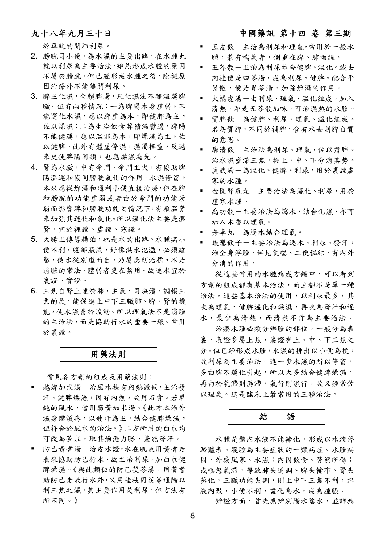#### 九十八年九月三十日 中國藥訊 第十四 卷 第三期

於單純的開肺利尿。

- 2. 膀胱司小便,為水濕的主要出路,在水腫也 就以利尿為主要治法,雖然形成水腫的原因 不屬於膀胱,但已經形成水腫之後,除從原 因治療外不能離開利尿。
- 3. 脾主化濕,全賴脾陽,凡化濕法不離溫運脾 臟。但有兩種情況:一為脾陽本身虛弱,不 能運化水濕,應以脾虛為本,即健脾為主, 佐以燥濕;二為生冷飲食等積濕鬱遏,脾陽 不能健運,應以溫邪為本,即燥濕為主,佐 以健脾。此外有體虛停濕,濕濁極重,反過 來更使脾陽困頓,也應燥濕為先。
- 4. 腎為水臟,中有命門,命門主火,有協助脾 陽溫運和協同膀胱氣化的作用。水濕停留, 本來應從燥濕和通利小便直接治療,但在脾 和膀胱的功能虛弱或者由於命門的功能衰 弱而影響脾和膀胱功能之情況下,有賴溫腎 來加強其運化和氣化。所以溫化法主要是溫 腎,宜於裡證、虛證、寒證。
- 5. 大腸主傳導糟泊,也是水的出路。水腫病小 便不利,腹部脹滿,好像洪水氾濫,必須疏 鑿,使水從別道而出,乃屬急則治標,不是 消腫的常法,體弱者更在禁用。故逐水宜於 裏證、實證。
- 6. 三焦自腎上連於肺,主氣,司決瀆。調暢三 焦的氣,能促進上中下三臟肺、脾、腎的機 能,使水濕易於流動。所以理氣法不是消腫 的主治法,而是協助行水的重要一環。常用 於裏證。

#### 用藥法則

常見各方劑的組成及用藥法則;

- 越婢加朮湯一治風水挾有內熱證候,主治發 汗、健脾燥濕,因有內熱,故用石膏。若單 純的風水,當用麻黃加朮湯。《此方本治外 濕身體煩疼,以發汗為主,結合健脾燥濕, 但符合於風水的治法。》二方所用的白朮均 可改為蒼朮,取其燥濕力勝,兼能發汗。
- 防己黃耆湯一治皮水證,水在肌表用黃耆走 表來協助防己行水,故主治利尿,加白朮健 脾燥濕。《與此類似的防己茯苓湯,用黃者 助防己走表行水外,又用桂枝同茯苓通陽以 利三焦之濕,其主要作用是利尿,但方法有 所不同。》
- 五皮飲-主治為利尿和理氣,常用於一般水 腫,兼有喘氣者,側重在脾、肺兩經。
- 五苓散-主治為利尿結合健脾、溫化。減去 肉桂便是四苓湯,成為利尿、健脾。配合平 胃散,便是胃苓湯,加強燥濕的作用。
- 大橘皮湯-由利尿、理氣、溫化組成,加入 清熱。即是五苓散加味,可治濕熱的水腫。
- 實脾飲-為健脾、利尿、理氣、溫化組成。 名為實脾,不同於補脾,含有水去則脾自實 的意思。
- 廓清飲-主治法為利尿、理氣,佐以肅肺。 治水濕壅滯三焦,從上、中、下分消其勢。
- 真武湯一為溫化、健脾、利尿,用於裏證虛 寒的水腫。
- 金匱腎氣丸一主要治法為濕化、利尿,用於 虛寒水腫。
- 禹功散-主要治法為瀉水,結合化濕,亦可 加入木香以理氣。
- 舟車丸-為逐水結合理氣。
- 疏鑿飲子-主要治法為逐水、利尿、發汗, 治全身浮腫,伴見氣喘、二便秘結,有內外 分消的作用。

從這些常用的水腫病成方鐘中,可以看到 方劑的組成都有基本治法,而且都不是單一種 治法。這些基本治法的使用,以利尿最多,其 次為理氣、健脾溫化和燥濕,再次為發汗和逐 水,最少為清熱,而清熱不作為主要治法。

治療水腫必須分辨腫的部位,一般分為表 裏,表證多屬上焦,裏證有上、中、下三焦之 分。但已經形成水腫,水濕的排出以小便為捷, 故利尿為主要治法。進一步水濕的所以停留, 多由脾不運化引起,所以大多結合健脾燥濕。 再由於氣滯則濕滯,氣行則濕行,故又經常佐 以理氣。這是臨床上最常用的三種治法。



水腫是體內水液不能輸化,形成以水液停 淤體表、腹腔為主要症狀的一類病症。水腫病 因,外感風寒、水濕;內因飲食、勞慾所傷; 或嗔怒氣滯,導致肺失通調、脾失輸布、腎失 蒸化,三臟功能失調,則上中下三焦不利,津 液內聚,小便不利,盡化為水,成為腫脹。 辨證方面,首先應辨別陽水陰水,並詳病